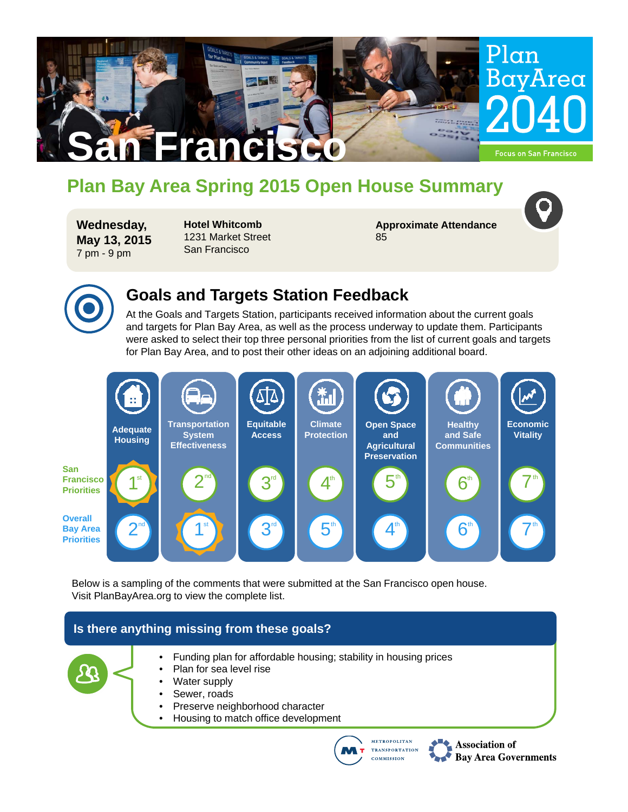

# **Plan Bay Area Spring 2015 Open House Summary**

**Wednesday, May 13, 2015** 7 pm - 9 pm

**Hotel Whitcomb**  1231 Market Street San Francisco

**Approximate Attendance** 85



### **Goals and Targets Station Feedback**

At the Goals and Targets Station, participants received information about the current goals and targets for Plan Bay Area, as well as the process underway to update them. Participants were asked to select their top three personal priorities from the list of current goals and targets for Plan Bay Area, and to post their other ideas on an adjoining additional board.



Below is a sampling of the comments that were submitted at the San Francisco open house. Visit PlanBayArea.org to view the complete list.

### **Is there anything missing from these goals?**



- Funding plan for affordable housing; stability in housing prices
- Plan for sea level rise
- Water supply
- Sewer, roads
- Preserve neighborhood character
- Housing to match office development



Association of **Bay Area Governments**